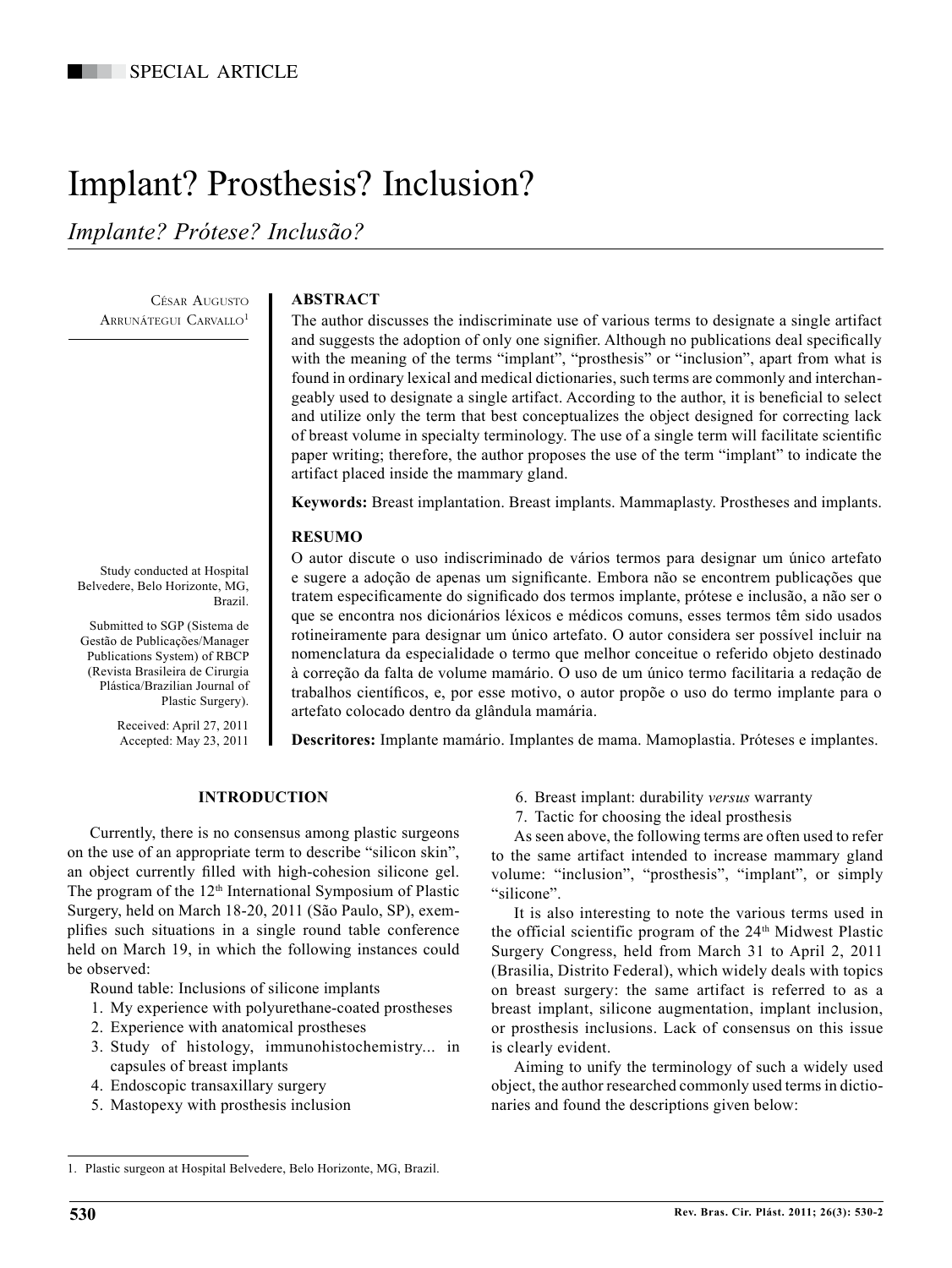# Implant? Prosthesis? Inclusion?

*Implante? Prótese? Inclusão?*

César Augusto ARRUNÁTEGUI CARVALLO<sup>1</sup>

# **ABSTRACT**

The author discusses the indiscriminate use of various terms to designate a single artifact and suggests the adoption of only one signifier. Although no publications deal specifically with the meaning of the terms "implant", "prosthesis" or "inclusion", apart from what is found in ordinary lexical and medical dictionaries, such terms are commonly and interchangeably used to designate a single artifact. According to the author, it is beneficial to select and utilize only the term that best conceptualizes the object designed for correcting lack of breast volume in specialty terminology. The use of a single term will facilitate scientific paper writing; therefore, the author proposes the use of the term "implant" to indicate the artifact placed inside the mammary gland.

**Keywords:** Breast implantation. Breast implants. Mammaplasty. Prostheses and implants.

## **RESUMO**

O autor discute o uso indiscriminado de vários termos para designar um único artefato e sugere a adoção de apenas um significante. Embora não se encontrem publicações que tratem especificamente do significado dos termos implante, prótese e inclusão, a não ser o que se encontra nos dicionários léxicos e médicos comuns, esses termos têm sido usados rotineiramente para designar um único artefato. O autor considera ser possível incluir na nomenclatura da especialidade o termo que melhor conceitue o referido objeto destinado à correção da falta de volume mamário. O uso de um único termo facilitaria a redação de trabalhos científicos, e, por esse motivo, o autor propõe o uso do termo implante para o artefato colocado dentro da glândula mamária.

**Descritores:** Implante mamário. Implantes de mama. Mamoplastia. Próteses e implantes.

## **INTRODUCTION**

Currently, there is no consensus among plastic surgeons on the use of an appropriate term to describe "silicon skin", an object currently filled with high-cohesion silicone gel. The program of the 12<sup>th</sup> International Symposium of Plastic Surgery, held on March 18-20, 2011 (São Paulo, SP), exemplifies such situations in a single round table conference held on March 19, in which the following instances could be observed:

Round table: Inclusions of silicone implants

- 1. My experience with polyurethane-coated prostheses
- 2. Experience with anatomical prostheses
- 3. Study of histology, immunohistochemistry... in capsules of breast implants
- 4. Endoscopic transaxillary surgery
- 5. Mastopexy with prosthesis inclusion
- 6. Breast implant: durability *versus* warranty
- 7. Tactic for choosing the ideal prosthesis

As seen above, the following terms are often used to refer to the same artifact intended to increase mammary gland volume: "inclusion", "prosthesis", "implant", or simply "silicone".

It is also interesting to note the various terms used in the official scientific program of the  $24<sup>th</sup>$  Midwest Plastic Surgery Congress, held from March 31 to April 2, 2011 (Brasilia, Distrito Federal), which widely deals with topics on breast surgery: the same artifact is referred to as a breast implant, silicone augmentation, implant inclusion, or prosthesis inclusions. Lack of consensus on this issue is clearly evident.

Aiming to unify the terminology of such a widely used object, the author researched commonly used terms in dictionaries and found the descriptions given below:

Study conducted at Hospital Belvedere, Belo Horizonte, MG, Brazil.

Submitted to SGP (Sistema de Gestão de Publicações/Manager Publications System) of RBCP (Revista Brasileira de Cirurgia Plástica/Brazilian Journal of Plastic Surgery).

> Received: April 27, 2011 Accepted: May 23, 2011

<sup>1.</sup> Plastic surgeon at Hospital Belvedere, Belo Horizonte, MG, Brazil.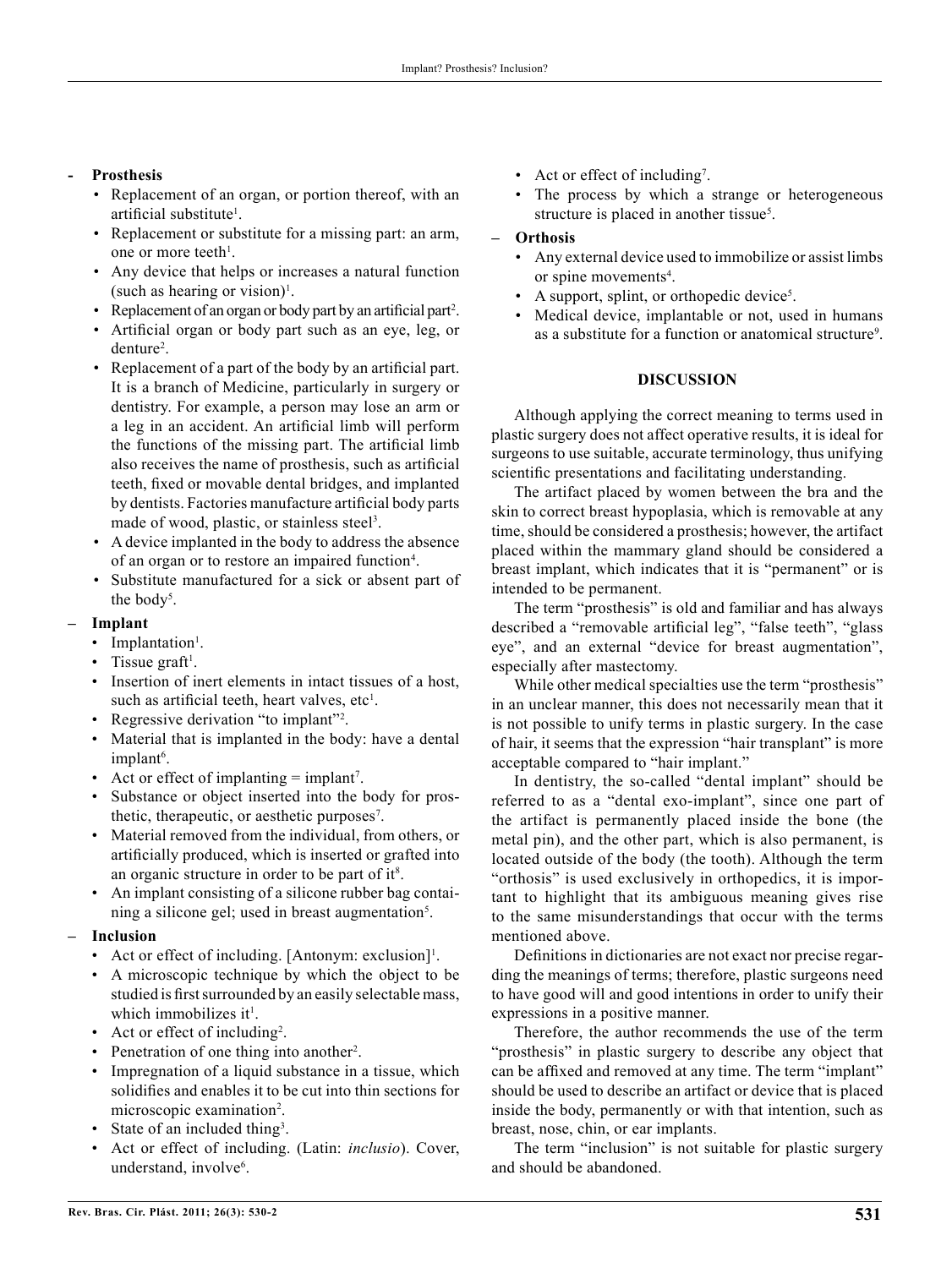## **- Prosthesis**

- Replacement of an organ, or portion thereof, with an artificial substitute<sup>1</sup>.
- Replacement or substitute for a missing part: an arm, one or more teeth<sup>1</sup>.
- Any device that helps or increases a natural function (such as hearing or vision)<sup>1</sup>.
- Replacement of an organ or body part by an artificial part<sup>2</sup>.
- Artificial organ or body part such as an eye, leg, or denture<sup>2</sup>.
- Replacement of a part of the body by an artificial part. It is a branch of Medicine, particularly in surgery or dentistry. For example, a person may lose an arm or a leg in an accident. An artificial limb will perform the functions of the missing part. The artificial limb also receives the name of prosthesis, such as artificial teeth, fixed or movable dental bridges, and implanted by dentists. Factories manufacture artificial body parts made of wood, plastic, or stainless steel<sup>3</sup>.
- A device implanted in the body to address the absence of an organ or to restore an impaired function<sup>4</sup>.
- Substitute manufactured for a sick or absent part of the body<sup>5</sup>.

#### **– Implant**

- Implantation<sup>1</sup>.
- Tissue graft<sup>1</sup>.
- Insertion of inert elements in intact tissues of a host. such as artificial teeth, heart valves, etc $<sup>1</sup>$ .</sup>
- Regressive derivation "to implant"<sup>2</sup>.
- Material that is implanted in the body: have a dental implant<sup>6</sup>.
- Act or effect of implanting  $=$  implant<sup>7</sup>.
- Substance or object inserted into the body for prosthetic, therapeutic, or aesthetic purposes<sup>7</sup>.
- Material removed from the individual, from others, or artificially produced, which is inserted or grafted into an organic structure in order to be part of it<sup>8</sup>.
- An implant consisting of a silicone rubber bag containing a silicone gel; used in breast augmentation<sup>5</sup>.

## **– Inclusion**

- Act or effect of including. [Antonym: exclusion]<sup>1</sup>.
- A microscopic technique by which the object to be studied is first surrounded by an easily selectable mass, which immobilizes it<sup>1</sup>.
- Act or effect of including<sup>2</sup>.
- Penetration of one thing into another<sup>2</sup>.
- Impregnation of a liquid substance in a tissue, which solidifies and enables it to be cut into thin sections for microscopic examination<sup>2</sup>.
- State of an included thing<sup>3</sup>.
- Act or effect of including. (Latin: *inclusio*). Cover, understand, involve<sup>6</sup>.
- Act or effect of including<sup>7</sup>.
- The process by which a strange or heterogeneous structure is placed in another tissue<sup>5</sup>.

#### **– Orthosis**

- Any external device used to immobilize or assist limbs or spine movements<sup>4</sup>.
- A support, splint, or orthopedic device<sup>5</sup>.
- Medical device, implantable or not, used in humans as a substitute for a function or anatomical structure<sup>9</sup>.

## **DISCUSSION**

Although applying the correct meaning to terms used in plastic surgery does not affect operative results, it is ideal for surgeons to use suitable, accurate terminology, thus unifying scientific presentations and facilitating understanding.

The artifact placed by women between the bra and the skin to correct breast hypoplasia, which is removable at any time, should be considered a prosthesis; however, the artifact placed within the mammary gland should be considered a breast implant, which indicates that it is "permanent" or is intended to be permanent.

The term "prosthesis" is old and familiar and has always described a "removable artificial leg", "false teeth", "glass eye", and an external "device for breast augmentation", especially after mastectomy.

While other medical specialties use the term "prosthesis" in an unclear manner, this does not necessarily mean that it is not possible to unify terms in plastic surgery. In the case of hair, it seems that the expression "hair transplant" is more acceptable compared to "hair implant."

In dentistry, the so-called "dental implant" should be referred to as a "dental exo-implant", since one part of the artifact is permanently placed inside the bone (the metal pin), and the other part, which is also permanent, is located outside of the body (the tooth). Although the term "orthosis" is used exclusively in orthopedics, it is important to highlight that its ambiguous meaning gives rise to the same misunderstandings that occur with the terms mentioned above.

Definitions in dictionaries are not exact nor precise regarding the meanings of terms; therefore, plastic surgeons need to have good will and good intentions in order to unify their expressions in a positive manner.

Therefore, the author recommends the use of the term "prosthesis" in plastic surgery to describe any object that can be affixed and removed at any time. The term "implant" should be used to describe an artifact or device that is placed inside the body, permanently or with that intention, such as breast, nose, chin, or ear implants.

The term "inclusion" is not suitable for plastic surgery and should be abandoned.